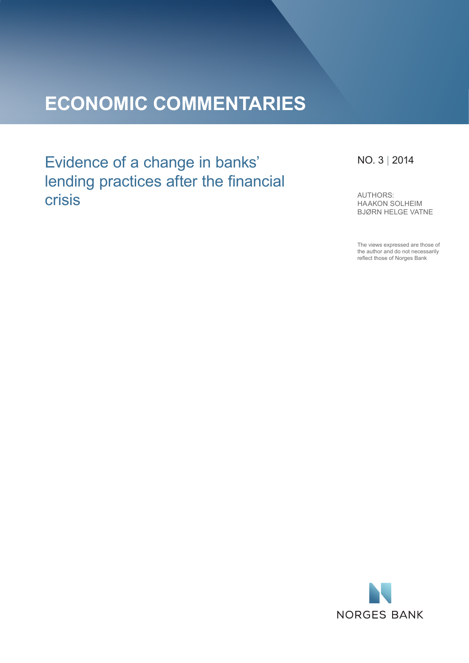# **ECONOMIC COMMENTARIES**

Evidence of a change in banks' lending practices after the financial crisis

## NO. 3 | 2014

AUTHORS: HAAKON SOLHEIM BJØRN HELGE VATNE

The views expressed are those of the author and do not necessarily reflect those of Norges Bank

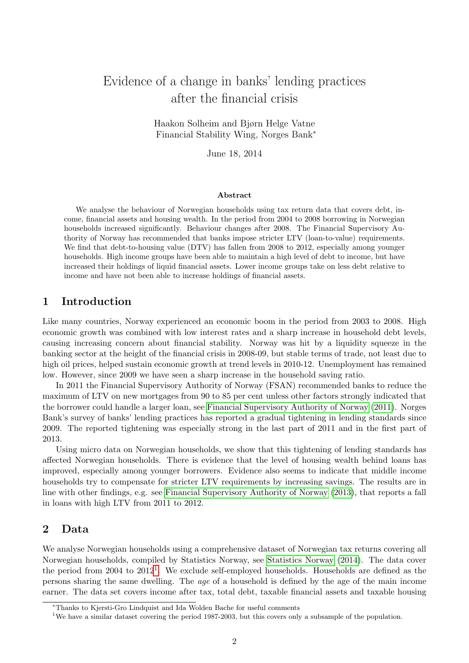## Evidence of a change in banks' lending practices after the financial crisis

Haakon Solheim and Bjørn Helge Vatne Financial Stability Wing, Norges Bank<sup>∗</sup>

June 18, 2014

#### Abstract

We analyse the behaviour of Norwegian households using tax return data that covers debt, income, financial assets and housing wealth. In the period from 2004 to 2008 borrowing in Norwegian households increased significantly. Behaviour changes after 2008. The Financial Supervisory Authority of Norway has recommended that banks impose stricter LTV (loan-to-value) requirements. We find that debt-to-housing value (DTV) has fallen from 2008 to 2012, especially among younger households. High income groups have been able to maintain a high level of debt to income, but have increased their holdings of liquid financial assets. Lower income groups take on less debt relative to income and have not been able to increase holdings of financial assets.

#### 1 Introduction

Like many countries, Norway experienced an economic boom in the period from 2003 to 2008. High economic growth was combined with low interest rates and a sharp increase in household debt levels, causing increasing concern about financial stability. Norway was hit by a liquidity squeeze in the banking sector at the height of the financial crisis in 2008-09, but stable terms of trade, not least due to high oil prices, helped sustain economic growth at trend levels in 2010-12. Unemployment has remained low. However, since 2009 we have seen a sharp increase in the household saving ratio.

In 2011 the Financial Supervisory Authority of Norway (FSAN) recommended banks to reduce the maximum of LTV on new mortgages from 90 to 85 per cent unless other factors strongly indicated that the borrower could handle a larger loan, see [Financial Supervisory Authority of Norway](#page-8-0) [\(2011\)](#page-8-0). Norges Bank's survey of banks' lending practices has reported a gradual tightening in lending standards since 2009. The reported tightening was especially strong in the last part of 2011 and in the first part of 2013.

Using micro data on Norwegian households, we show that this tightening of lending standards has affected Norwegian households. There is evidence that the level of housing wealth behind loans has improved, especially among younger borrowers. Evidence also seems to indicate that middle income households try to compensate for stricter LTV requirements by increasing savings. The results are in line with other findings, e.g. see [Financial Supervisory Authority of Norway](#page-8-1) [\(2013\)](#page-8-1), that reports a fall in loans with high LTV from 2011 to 2012.

### 2 Data

We analyse Norwegian households using a comprehensive dataset of Norwegian tax returns covering all Norwegian households, compiled by Statistics Norway, see [Statistics Norway](#page-8-2) [\(2014\)](#page-8-2). The data cover the period from 2004 to 20[1](#page-1-0)2<sup>1</sup>. We exclude self-employed households. Households are defined as the persons sharing the same dwelling. The age of a household is defined by the age of the main income earner. The data set covers income after tax, total debt, taxable financial assets and taxable housing

<sup>∗</sup>Thanks to Kjersti-Gro Lindquist and Ida Wolden Bache for useful comments

<span id="page-1-0"></span><sup>&</sup>lt;sup>1</sup>We have a similar dataset covering the period 1987-2003, but this covers only a subsample of the population.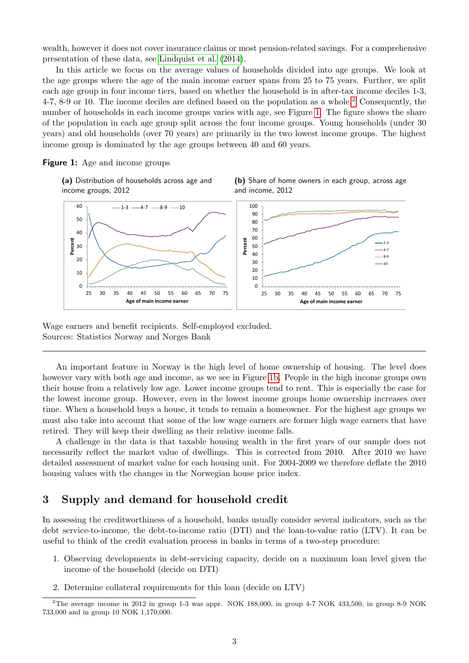wealth, however it does not cover insurance claims or most pension-related savings. For a comprehensive presentation of these data, see [Lindquist et al.](#page-8-3) [\(2014\)](#page-8-3).

In this article we focus on the average values of households divided into age groups. We look at the age groups where the age of the main income earner spans from 25 to 75 years. Further, we split each age group in four income tiers, based on whether the household is in after-tax income deciles 1-3, 4-7, 8-9 or 10. The income deciles are defined based on the population as a whole.<sup>[2](#page-2-0)</sup> Consequently, the number of households in each income groups varies with age, see Figure [1.](#page-2-1) The figure shows the share of the population in each age group split across the four income groups. Young households (under 30 years) and old households (over 70 years) are primarily in the two lowest income groups. The highest income group is dominated by the age groups between 40 and 60 years.

<span id="page-2-1"></span>**Figure 1:** Age and income groups

(a) Distribution of households across age and income groups, 2012





Wage earners and benefit recipients. Self-employed excluded. Sources: Statistics Norway and Norges Bank

An important feature in Norway is the high level of home ownership of housing. The level does however vary with both age and income, as we see in Figure [1b.](#page-2-1) People in the high income groups own their house from a relatively low age. Lower income groups tend to rent. This is especially the case for the lowest income group. However, even in the lowest income groups home ownership increases over time. When a household buys a house, it tends to remain a homeowner. For the highest age groups we must also take into account that some of the low wage earners are former high wage earners that have retired. They will keep their dwelling as their relative income falls.

A challenge in the data is that taxable housing wealth in the first years of our sample does not necessarily reflect the market value of dwellings. This is corrected from 2010. After 2010 we have detailed assessment of market value for each housing unit. For 2004-2009 we therefore deflate the 2010 housing values with the changes in the Norwegian house price index.

#### 3 Supply and demand for household credit

In assessing the creditworthiness of a household, banks usually consider several indicators, such as the debt service-to-income, the debt-to-income ratio (DTI) and the loan-to-value ratio (LTV). It can be useful to think of the credit evaluation process in banks in terms of a two-step procedure:

- 1. Observing developments in debt-servicing capacity, decide on a maximum loan level given the income of the household (decide on DTI)
- 2. Determine collateral requirements for this loan (decide on LTV)

<span id="page-2-0"></span><sup>2</sup>The average income in 2012 in group 1-3 was appr. NOK 188,000, in group 4-7 NOK 433,500, in group 8-9 NOK 733,000 and in group 10 NOK 1,170,000.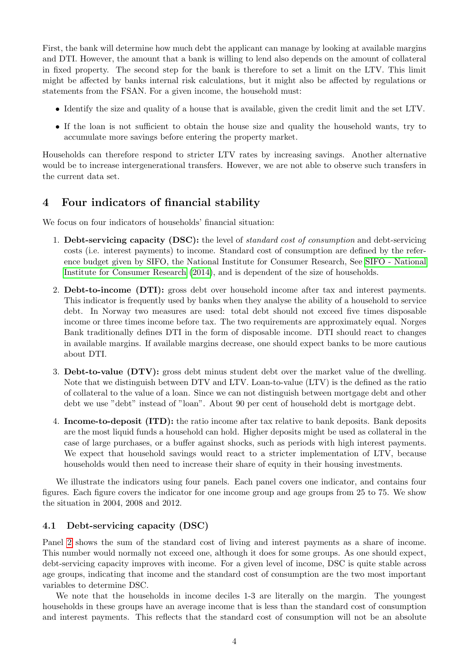First, the bank will determine how much debt the applicant can manage by looking at available margins and DTI. However, the amount that a bank is willing to lend also depends on the amount of collateral in fixed property. The second step for the bank is therefore to set a limit on the LTV. This limit might be affected by banks internal risk calculations, but it might also be affected by regulations or statements from the FSAN. For a given income, the household must:

- Identify the size and quality of a house that is available, given the credit limit and the set LTV.
- If the loan is not sufficient to obtain the house size and quality the household wants, try to accumulate more savings before entering the property market.

Households can therefore respond to stricter LTV rates by increasing savings. Another alternative would be to increase intergenerational transfers. However, we are not able to observe such transfers in the current data set.

## 4 Four indicators of financial stability

We focus on four indicators of households' financial situation:

- 1. Debt-servicing capacity (DSC): the level of *standard cost of consumption* and debt-servicing costs (i.e. interest payments) to income. Standard cost of consumption are defined by the reference budget given by SIFO, the National Institute for Consumer Research, See [SIFO - National](#page-8-4) [Institute for Consumer Research](#page-8-4) [\(2014\)](#page-8-4), and is dependent of the size of households.
- 2. Debt-to-income (DTI): gross debt over household income after tax and interest payments. This indicator is frequently used by banks when they analyse the ability of a household to service debt. In Norway two measures are used: total debt should not exceed five times disposable income or three times income before tax. The two requirements are approximately equal. Norges Bank traditionally defines DTI in the form of disposable income. DTI should react to changes in available margins. If available margins decrease, one should expect banks to be more cautious about DTI.
- 3. Debt-to-value (DTV): gross debt minus student debt over the market value of the dwelling. Note that we distinguish between DTV and LTV. Loan-to-value (LTV) is the defined as the ratio of collateral to the value of a loan. Since we can not distinguish between mortgage debt and other debt we use "debt" instead of "loan". About 90 per cent of household debt is mortgage debt.
- 4. Income-to-deposit (ITD): the ratio income after tax relative to bank deposits. Bank deposits are the most liquid funds a household can hold. Higher deposits might be used as collateral in the case of large purchases, or a buffer against shocks, such as periods with high interest payments. We expect that household savings would react to a stricter implementation of LTV, because households would then need to increase their share of equity in their housing investments.

We illustrate the indicators using four panels. Each panel covers one indicator, and contains four figures. Each figure covers the indicator for one income group and age groups from 25 to 75. We show the situation in 2004, 2008 and 2012.

#### 4.1 Debt-servicing capacity (DSC)

Panel [2](#page-4-0) shows the sum of the standard cost of living and interest payments as a share of income. This number would normally not exceed one, although it does for some groups. As one should expect, debt-servicing capacity improves with income. For a given level of income, DSC is quite stable across age groups, indicating that income and the standard cost of consumption are the two most important variables to determine DSC.

We note that the households in income deciles 1-3 are literally on the margin. The youngest households in these groups have an average income that is less than the standard cost of consumption and interest payments. This reflects that the standard cost of consumption will not be an absolute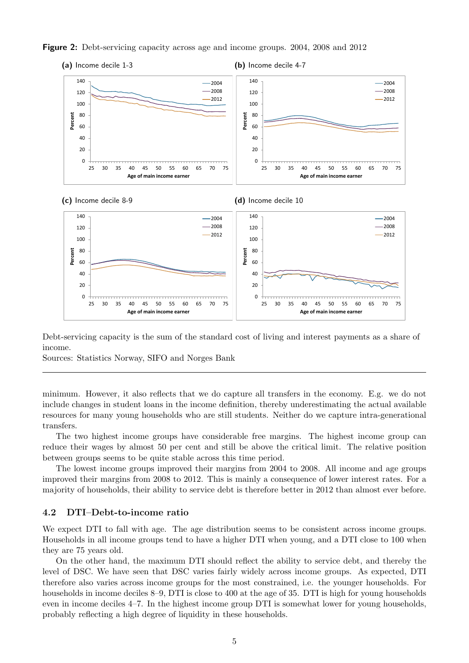<span id="page-4-0"></span>



Debt-servicing capacity is the sum of the standard cost of living and interest payments as a share of income.

Sources: Statistics Norway, SIFO and Norges Bank

minimum. However, it also reflects that we do capture all transfers in the economy. E.g. we do not include changes in student loans in the income definition, thereby underestimating the actual available resources for many young households who are still students. Neither do we capture intra-generational transfers.

The two highest income groups have considerable free margins. The highest income group can reduce their wages by almost 50 per cent and still be above the critical limit. The relative position between groups seems to be quite stable across this time period.

The lowest income groups improved their margins from 2004 to 2008. All income and age groups improved their margins from 2008 to 2012. This is mainly a consequence of lower interest rates. For a majority of households, their ability to service debt is therefore better in 2012 than almost ever before.

#### 4.2 DTI–Debt-to-income ratio

We expect DTI to fall with age. The age distribution seems to be consistent across income groups. Households in all income groups tend to have a higher DTI when young, and a DTI close to 100 when they are 75 years old.

On the other hand, the maximum DTI should reflect the ability to service debt, and thereby the level of DSC. We have seen that DSC varies fairly widely across income groups. As expected, DTI therefore also varies across income groups for the most constrained, i.e. the younger households. For households in income deciles 8–9, DTI is close to 400 at the age of 35. DTI is high for young households even in income deciles 4–7. In the highest income group DTI is somewhat lower for young households, probably reflecting a high degree of liquidity in these households.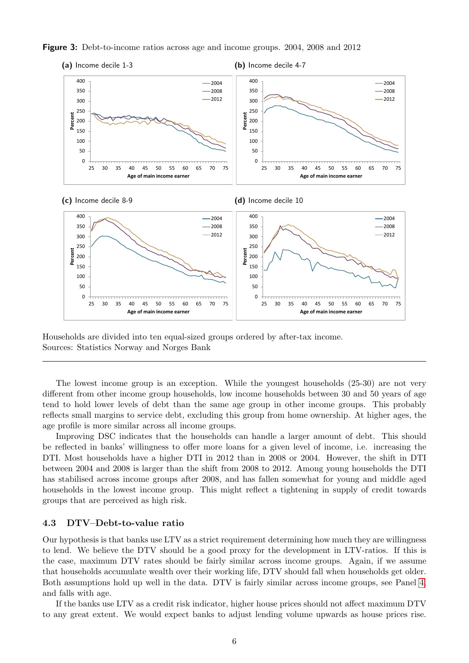



Households are divided into ten equal-sized groups ordered by after-tax income. Sources: Statistics Norway and Norges Bank

The lowest income group is an exception. While the youngest households  $(25-30)$  are not very different from other income group households, low income households between 30 and 50 years of age tend to hold lower levels of debt than the same age group in other income groups. This probably reflects small margins to service debt, excluding this group from home ownership. At higher ages, the age profile is more similar across all income groups.

Improving DSC indicates that the households can handle a larger amount of debt. This should be reflected in banks' willingness to offer more loans for a given level of income, i.e. increasing the DTI. Most households have a higher DTI in 2012 than in 2008 or 2004. However, the shift in DTI between 2004 and 2008 is larger than the shift from 2008 to 2012. Among young households the DTI has stabilised across income groups after 2008, and has fallen somewhat for young and middle aged households in the lowest income group. This might reflect a tightening in supply of credit towards groups that are perceived as high risk.

#### 4.3 DTV–Debt-to-value ratio

Our hypothesis is that banks use LTV as a strict requirement determining how much they are willingness to lend. We believe the DTV should be a good proxy for the development in LTV-ratios. If this is the case, maximum DTV rates should be fairly similar across income groups. Again, if we assume that households accumulate wealth over their working life, DTV should fall when households get older. Both assumptions hold up well in the data. DTV is fairly similar across income groups, see Panel [4,](#page-6-0) and falls with age.

If the banks use LTV as a credit risk indicator, higher house prices should not affect maximum DTV to any great extent. We would expect banks to adjust lending volume upwards as house prices rise.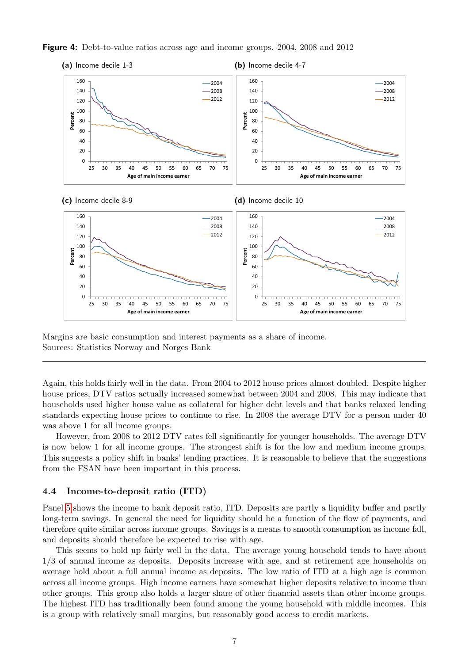<span id="page-6-0"></span>



Margins are basic consumption and interest payments as a share of income. Sources: Statistics Norway and Norges Bank

Again, this holds fairly well in the data. From 2004 to 2012 house prices almost doubled. Despite higher house prices, DTV ratios actually increased somewhat between 2004 and 2008. This may indicate that households used higher house value as collateral for higher debt levels and that banks relaxed lending standards expecting house prices to continue to rise. In 2008 the average DTV for a person under 40 was above 1 for all income groups.

However, from 2008 to 2012 DTV rates fell significantly for younger households. The average DTV is now below 1 for all income groups. The strongest shift is for the low and medium income groups. This suggests a policy shift in banks' lending practices. It is reasonable to believe that the suggestions from the FSAN have been important in this process.

#### 4.4 Income-to-deposit ratio (ITD)

Panel [5](#page-7-0) shows the income to bank deposit ratio, ITD. Deposits are partly a liquidity buffer and partly long-term savings. In general the need for liquidity should be a function of the flow of payments, and therefore quite similar across income groups. Savings is a means to smooth consumption as income fall, and deposits should therefore be expected to rise with age.

This seems to hold up fairly well in the data. The average young household tends to have about 1/3 of annual income as deposits. Deposits increase with age, and at retirement age households on average hold about a full annual income as deposits. The low ratio of ITD at a high age is common across all income groups. High income earners have somewhat higher deposits relative to income than other groups. This group also holds a larger share of other financial assets than other income groups. The highest ITD has traditionally been found among the young household with middle incomes. This is a group with relatively small margins, but reasonably good access to credit markets.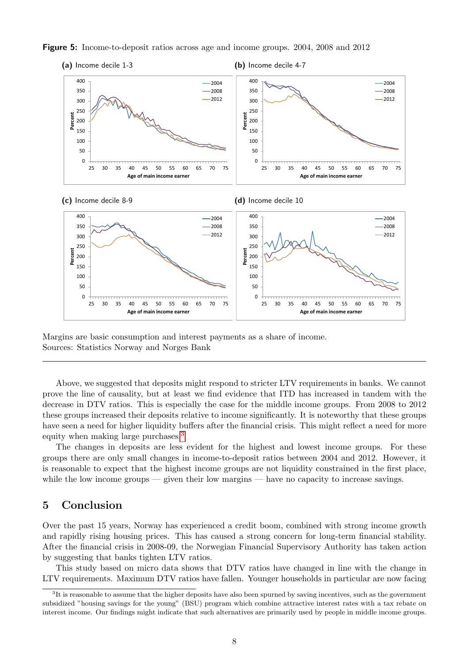

<span id="page-7-0"></span>Figure 5: Income-to-deposit ratios across age and income groups. 2004, 2008 and 2012

Margins are basic consumption and interest payments as a share of income. Sources: Statistics Norway and Norges Bank

Above, we suggested that deposits might respond to stricter LTV requirements in banks. We cannot prove the line of causality, but at least we find evidence that ITD has increased in tandem with the decrease in DTV ratios. This is especially the case for the middle income groups. From 2008 to 2012 these groups increased their deposits relative to income significantly. It is noteworthy that these groups have seen a need for higher liquidity buffers after the financial crisis. This might reflect a need for more equity when making large purchases.[3](#page-7-1)

The changes in deposits are less evident for the highest and lowest income groups. For these groups there are only small changes in income-to-deposit ratios between 2004 and 2012. However, it is reasonable to expect that the highest income groups are not liquidity constrained in the first place, while the low income groups — given their low margins — have no capacity to increase savings.

## 5 Conclusion

Over the past 15 years, Norway has experienced a credit boom, combined with strong income growth and rapidly rising housing prices. This has caused a strong concern for long-term financial stability. After the financial crisis in 2008-09, the Norwegian Financial Supervisory Authority has taken action by suggesting that banks tighten LTV ratios.

This study based on micro data shows that DTV ratios have changed in line with the change in LTV requirements. Maximum DTV ratios have fallen. Younger households in particular are now facing

<span id="page-7-1"></span> ${}^{3}$ It is reasonable to assume that the higher deposits have also been spurned by saving incentives, such as the government subsidized "housing savings for the young" (BSU) program which combine attractive interest rates with a tax rebate on interest income. Our findings might indicate that such alternatives are primarily used by people in middle income groups.